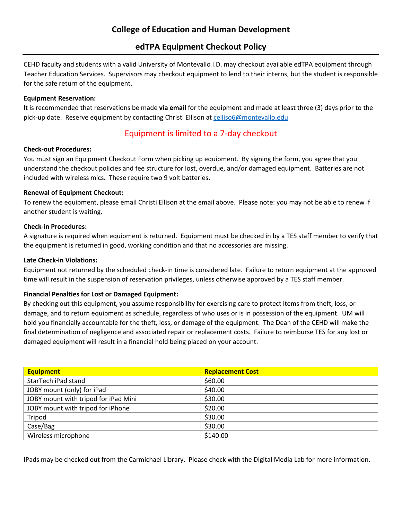## **edTPA Equipment Checkout Policy**

CEHD faculty and students with a valid University of Montevallo I.D. may checkout available edTPA equipment through Teacher Education Services. Supervisors may checkout equipment to lend to their interns, but the student is responsible for the safe return of the equipment.

#### **Equipment Reservation:**

It is recommended that reservations be made **via email** for the equipment and made at least three (3) days prior to the pick-up date. Reserve equipment by contacting Christi Ellison at [celliso6@montevallo.edu](mailto:celliso6@montevallo.edu)

## Equipment is limited to a 7-day checkout

#### **Check-out Procedures:**

You must sign an Equipment Checkout Form when picking up equipment. By signing the form, you agree that you understand the checkout policies and fee structure for lost, overdue, and/or damaged equipment. Batteries are not included with wireless mics. These require two 9 volt batteries.

#### **Renewal of Equipment Checkout:**

To renew the equipment, please email Christi Ellison at the email above. Please note: you may not be able to renew if another student is waiting.

#### **Check-in Procedures:**

A signature is required when equipment is returned. Equipment must be checked in by a TES staff member to verify that the equipment is returned in good, working condition and that no accessories are missing.

#### **Late Check-in Violations:**

Equipment not returned by the scheduled check-in time is considered late. Failure to return equipment at the approved time will result in the suspension of reservation privileges, unless otherwise approved by a TES staff member.

### **Financial Penalties for Lost or Damaged Equipment:**

By checking out this equipment, you assume responsibility for exercising care to protect items from theft, loss, or damage, and to return equipment as schedule, regardless of who uses or is in possession of the equipment. UM will hold you financially accountable for the theft, loss, or damage of the equipment. The Dean of the CEHD will make the final determination of negligence and associated repair or replacement costs. Failure to reimburse TES for any lost or damaged equipment will result in a financial hold being placed on your account.

| <b>Equipment</b>                     | <b>Replacement Cost</b> |
|--------------------------------------|-------------------------|
| StarTech iPad stand                  | \$60.00                 |
| JOBY mount (only) for iPad           | \$40.00                 |
| JOBY mount with tripod for iPad Mini | \$30.00                 |
| JOBY mount with tripod for iPhone    | \$20.00                 |
| Tripod                               | \$30.00                 |
| Case/Bag                             | \$30.00                 |
| Wireless microphone                  | \$140.00                |

IPads may be checked out from the Carmichael Library. Please check with the Digital Media Lab for more information.